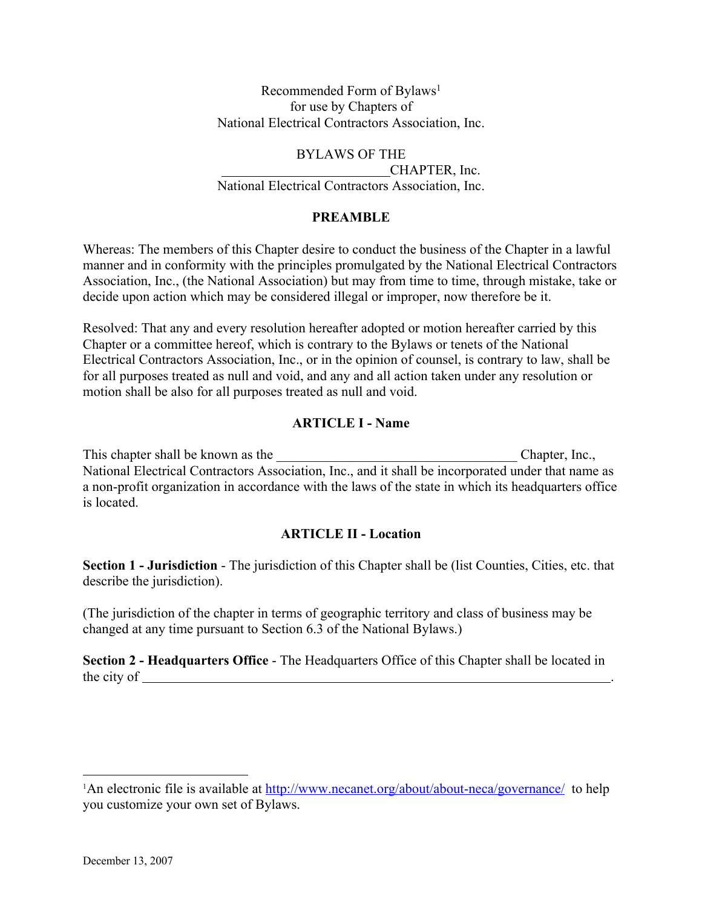Recommended Form of Bylaws<sup>1</sup> for use by Chapters of National Electrical Contractors Association, Inc.

# BYLAWS OF THE

 CHAPTER, Inc. National Electrical Contractors Association, Inc.

### **PREAMBLE**

Whereas: The members of this Chapter desire to conduct the business of the Chapter in a lawful manner and in conformity with the principles promulgated by the National Electrical Contractors Association, Inc., (the National Association) but may from time to time, through mistake, take or decide upon action which may be considered illegal or improper, now therefore be it.

Resolved: That any and every resolution hereafter adopted or motion hereafter carried by this Chapter or a committee hereof, which is contrary to the Bylaws or tenets of the National Electrical Contractors Association, Inc., or in the opinion of counsel, is contrary to law, shall be for all purposes treated as null and void, and any and all action taken under any resolution or motion shall be also for all purposes treated as null and void.

### **ARTICLE I - Name**

This chapter shall be known as the the contract of the chapter, Inc., National Electrical Contractors Association, Inc., and it shall be incorporated under that name as a non-profit organization in accordance with the laws of the state in which its headquarters office is located.

## **ARTICLE II - Location**

**Section 1 - Jurisdiction** - The jurisdiction of this Chapter shall be (list Counties, Cities, etc. that describe the jurisdiction).

(The jurisdiction of the chapter in terms of geographic territory and class of business may be changed at any time pursuant to Section 6.3 of the National Bylaws.)

**Section 2 - Headquarters Office** - The Headquarters Office of this Chapter shall be located in the city of .

<sup>&</sup>lt;sup>1</sup>An electronic file is available at http://www.necanet.org/about/about-neca/governance/ to help you customize your own set of Bylaws.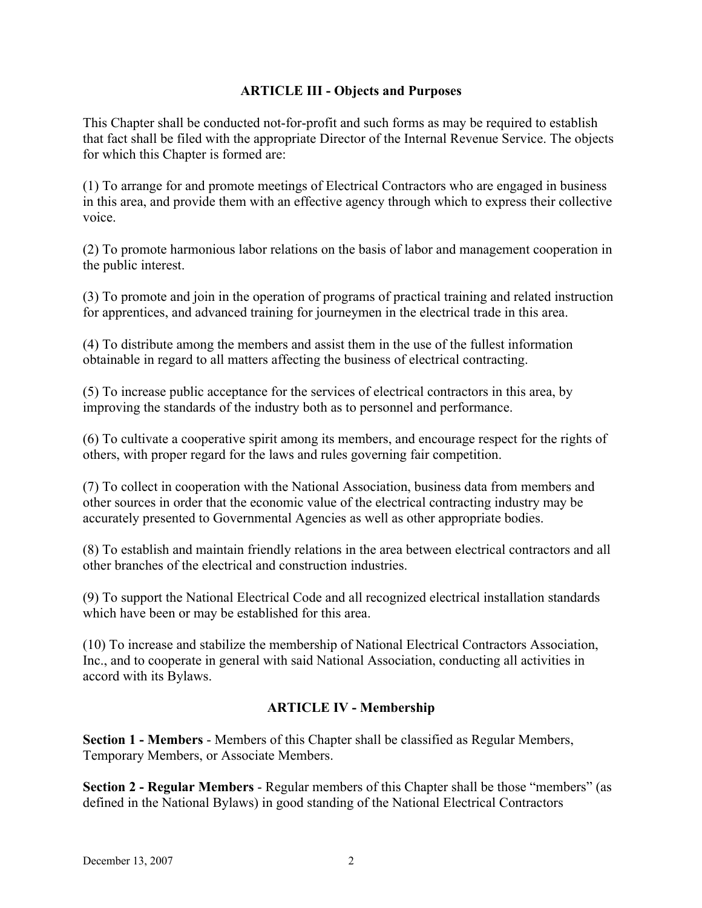#### **ARTICLE III - Objects and Purposes**

This Chapter shall be conducted not-for-profit and such forms as may be required to establish that fact shall be filed with the appropriate Director of the Internal Revenue Service. The objects for which this Chapter is formed are:

(1) To arrange for and promote meetings of Electrical Contractors who are engaged in business in this area, and provide them with an effective agency through which to express their collective voice.

(2) To promote harmonious labor relations on the basis of labor and management cooperation in the public interest.

(3) To promote and join in the operation of programs of practical training and related instruction for apprentices, and advanced training for journeymen in the electrical trade in this area.

(4) To distribute among the members and assist them in the use of the fullest information obtainable in regard to all matters affecting the business of electrical contracting.

(5) To increase public acceptance for the services of electrical contractors in this area, by improving the standards of the industry both as to personnel and performance.

(6) To cultivate a cooperative spirit among its members, and encourage respect for the rights of others, with proper regard for the laws and rules governing fair competition.

(7) To collect in cooperation with the National Association, business data from members and other sources in order that the economic value of the electrical contracting industry may be accurately presented to Governmental Agencies as well as other appropriate bodies.

(8) To establish and maintain friendly relations in the area between electrical contractors and all other branches of the electrical and construction industries.

(9) To support the National Electrical Code and all recognized electrical installation standards which have been or may be established for this area.

(10) To increase and stabilize the membership of National Electrical Contractors Association, Inc., and to cooperate in general with said National Association, conducting all activities in accord with its Bylaws.

#### **ARTICLE IV - Membership**

**Section 1 - Members** - Members of this Chapter shall be classified as Regular Members, Temporary Members, or Associate Members.

**Section 2 - Regular Members** - Regular members of this Chapter shall be those "members" (as defined in the National Bylaws) in good standing of the National Electrical Contractors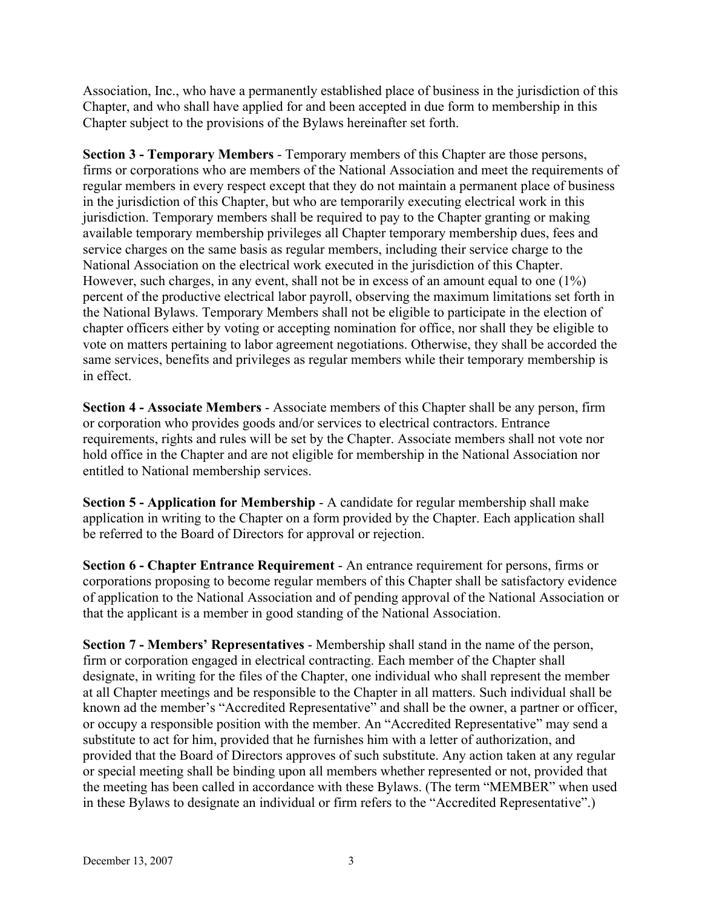Association, Inc., who have a permanently established place of business in the jurisdiction of this Chapter, and who shall have applied for and been accepted in due form to membership in this Chapter subject to the provisions of the Bylaws hereinafter set forth.

**Section 3 - Temporary Members** - Temporary members of this Chapter are those persons, firms or corporations who are members of the National Association and meet the requirements of regular members in every respect except that they do not maintain a permanent place of business in the jurisdiction of this Chapter, but who are temporarily executing electrical work in this jurisdiction. Temporary members shall be required to pay to the Chapter granting or making available temporary membership privileges all Chapter temporary membership dues, fees and service charges on the same basis as regular members, including their service charge to the National Association on the electrical work executed in the jurisdiction of this Chapter. However, such charges, in any event, shall not be in excess of an amount equal to one (1%) percent of the productive electrical labor payroll, observing the maximum limitations set forth in the National Bylaws. Temporary Members shall not be eligible to participate in the election of chapter officers either by voting or accepting nomination for office, nor shall they be eligible to vote on matters pertaining to labor agreement negotiations. Otherwise, they shall be accorded the same services, benefits and privileges as regular members while their temporary membership is in effect.

**Section 4 - Associate Members** - Associate members of this Chapter shall be any person, firm or corporation who provides goods and/or services to electrical contractors. Entrance requirements, rights and rules will be set by the Chapter. Associate members shall not vote nor hold office in the Chapter and are not eligible for membership in the National Association nor entitled to National membership services.

**Section 5 - Application for Membership** - A candidate for regular membership shall make application in writing to the Chapter on a form provided by the Chapter. Each application shall be referred to the Board of Directors for approval or rejection.

**Section 6 - Chapter Entrance Requirement** - An entrance requirement for persons, firms or corporations proposing to become regular members of this Chapter shall be satisfactory evidence of application to the National Association and of pending approval of the National Association or that the applicant is a member in good standing of the National Association.

**Section 7 - Members' Representatives** - Membership shall stand in the name of the person, firm or corporation engaged in electrical contracting. Each member of the Chapter shall designate, in writing for the files of the Chapter, one individual who shall represent the member at all Chapter meetings and be responsible to the Chapter in all matters. Such individual shall be known ad the member's "Accredited Representative" and shall be the owner, a partner or officer, or occupy a responsible position with the member. An "Accredited Representative" may send a substitute to act for him, provided that he furnishes him with a letter of authorization, and provided that the Board of Directors approves of such substitute. Any action taken at any regular or special meeting shall be binding upon all members whether represented or not, provided that the meeting has been called in accordance with these Bylaws. (The term "MEMBER" when used in these Bylaws to designate an individual or firm refers to the "Accredited Representative".)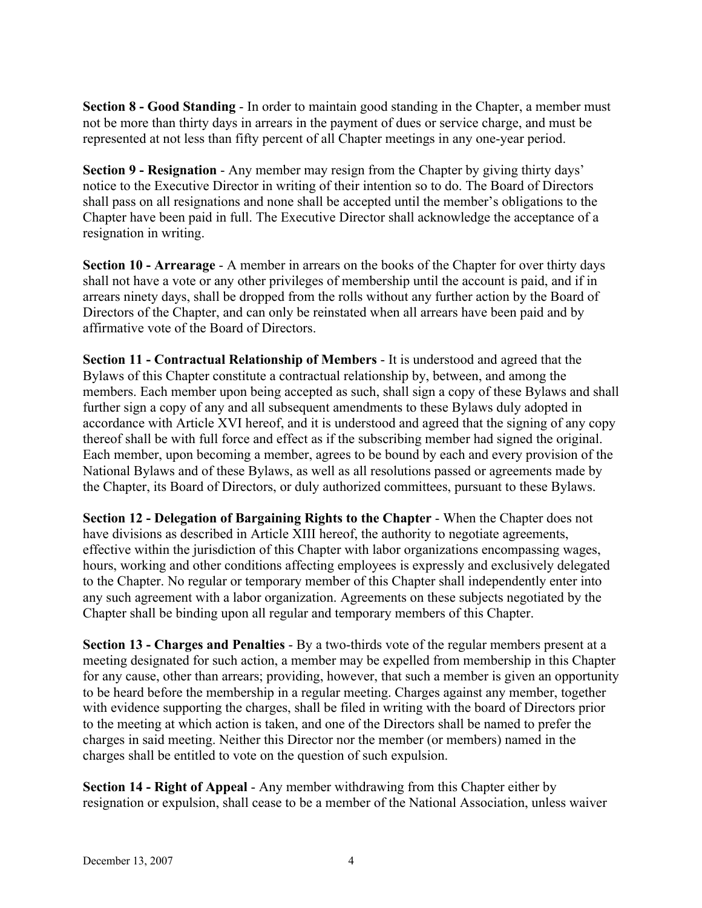**Section 8 - Good Standing** - In order to maintain good standing in the Chapter, a member must not be more than thirty days in arrears in the payment of dues or service charge, and must be represented at not less than fifty percent of all Chapter meetings in any one-year period.

**Section 9 - Resignation** - Any member may resign from the Chapter by giving thirty days' notice to the Executive Director in writing of their intention so to do. The Board of Directors shall pass on all resignations and none shall be accepted until the member's obligations to the Chapter have been paid in full. The Executive Director shall acknowledge the acceptance of a resignation in writing.

**Section 10 - Arrearage** - A member in arrears on the books of the Chapter for over thirty days shall not have a vote or any other privileges of membership until the account is paid, and if in arrears ninety days, shall be dropped from the rolls without any further action by the Board of Directors of the Chapter, and can only be reinstated when all arrears have been paid and by affirmative vote of the Board of Directors.

**Section 11 - Contractual Relationship of Members** - It is understood and agreed that the Bylaws of this Chapter constitute a contractual relationship by, between, and among the members. Each member upon being accepted as such, shall sign a copy of these Bylaws and shall further sign a copy of any and all subsequent amendments to these Bylaws duly adopted in accordance with Article XVI hereof, and it is understood and agreed that the signing of any copy thereof shall be with full force and effect as if the subscribing member had signed the original. Each member, upon becoming a member, agrees to be bound by each and every provision of the National Bylaws and of these Bylaws, as well as all resolutions passed or agreements made by the Chapter, its Board of Directors, or duly authorized committees, pursuant to these Bylaws.

**Section 12 - Delegation of Bargaining Rights to the Chapter** - When the Chapter does not have divisions as described in Article XIII hereof, the authority to negotiate agreements, effective within the jurisdiction of this Chapter with labor organizations encompassing wages, hours, working and other conditions affecting employees is expressly and exclusively delegated to the Chapter. No regular or temporary member of this Chapter shall independently enter into any such agreement with a labor organization. Agreements on these subjects negotiated by the Chapter shall be binding upon all regular and temporary members of this Chapter.

**Section 13 - Charges and Penalties** - By a two-thirds vote of the regular members present at a meeting designated for such action, a member may be expelled from membership in this Chapter for any cause, other than arrears; providing, however, that such a member is given an opportunity to be heard before the membership in a regular meeting. Charges against any member, together with evidence supporting the charges, shall be filed in writing with the board of Directors prior to the meeting at which action is taken, and one of the Directors shall be named to prefer the charges in said meeting. Neither this Director nor the member (or members) named in the charges shall be entitled to vote on the question of such expulsion.

**Section 14 - Right of Appeal** - Any member withdrawing from this Chapter either by resignation or expulsion, shall cease to be a member of the National Association, unless waiver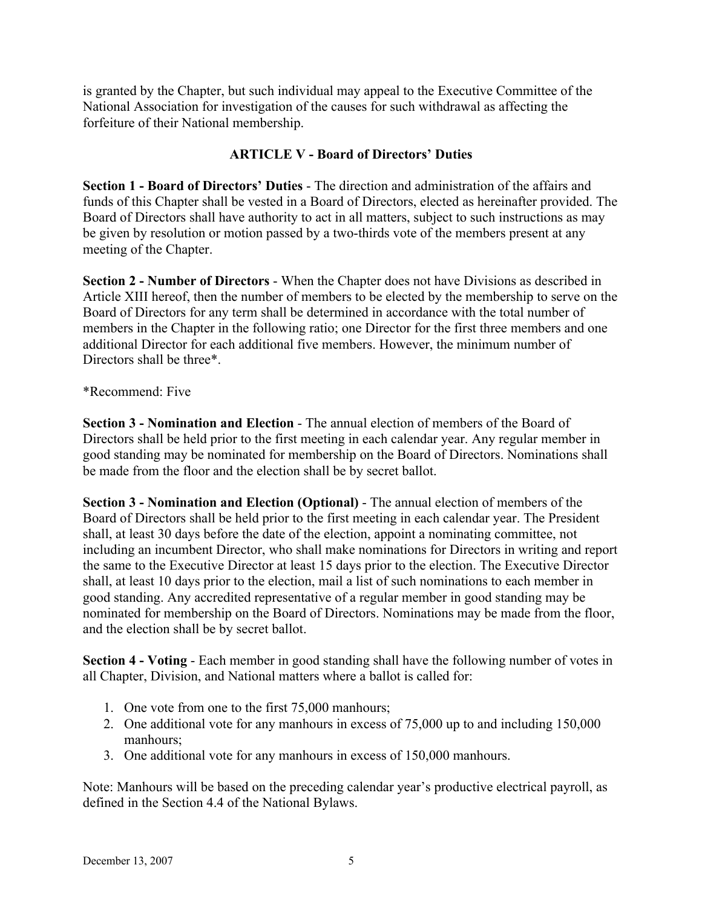is granted by the Chapter, but such individual may appeal to the Executive Committee of the National Association for investigation of the causes for such withdrawal as affecting the forfeiture of their National membership.

### **ARTICLE V - Board of Directors' Duties**

**Section 1 - Board of Directors' Duties** - The direction and administration of the affairs and funds of this Chapter shall be vested in a Board of Directors, elected as hereinafter provided. The Board of Directors shall have authority to act in all matters, subject to such instructions as may be given by resolution or motion passed by a two-thirds vote of the members present at any meeting of the Chapter.

**Section 2 - Number of Directors** - When the Chapter does not have Divisions as described in Article XIII hereof, then the number of members to be elected by the membership to serve on the Board of Directors for any term shall be determined in accordance with the total number of members in the Chapter in the following ratio; one Director for the first three members and one additional Director for each additional five members. However, the minimum number of Directors shall be three\*.

#### \*Recommend: Five

**Section 3 - Nomination and Election** - The annual election of members of the Board of Directors shall be held prior to the first meeting in each calendar year. Any regular member in good standing may be nominated for membership on the Board of Directors. Nominations shall be made from the floor and the election shall be by secret ballot.

**Section 3 - Nomination and Election (Optional)** - The annual election of members of the Board of Directors shall be held prior to the first meeting in each calendar year. The President shall, at least 30 days before the date of the election, appoint a nominating committee, not including an incumbent Director, who shall make nominations for Directors in writing and report the same to the Executive Director at least 15 days prior to the election. The Executive Director shall, at least 10 days prior to the election, mail a list of such nominations to each member in good standing. Any accredited representative of a regular member in good standing may be nominated for membership on the Board of Directors. Nominations may be made from the floor, and the election shall be by secret ballot.

**Section 4 - Voting** - Each member in good standing shall have the following number of votes in all Chapter, Division, and National matters where a ballot is called for:

- 1. One vote from one to the first 75,000 manhours;
- 2. One additional vote for any manhours in excess of 75,000 up to and including 150,000 manhours;
- 3. One additional vote for any manhours in excess of 150,000 manhours.

Note: Manhours will be based on the preceding calendar year's productive electrical payroll, as defined in the Section 4.4 of the National Bylaws.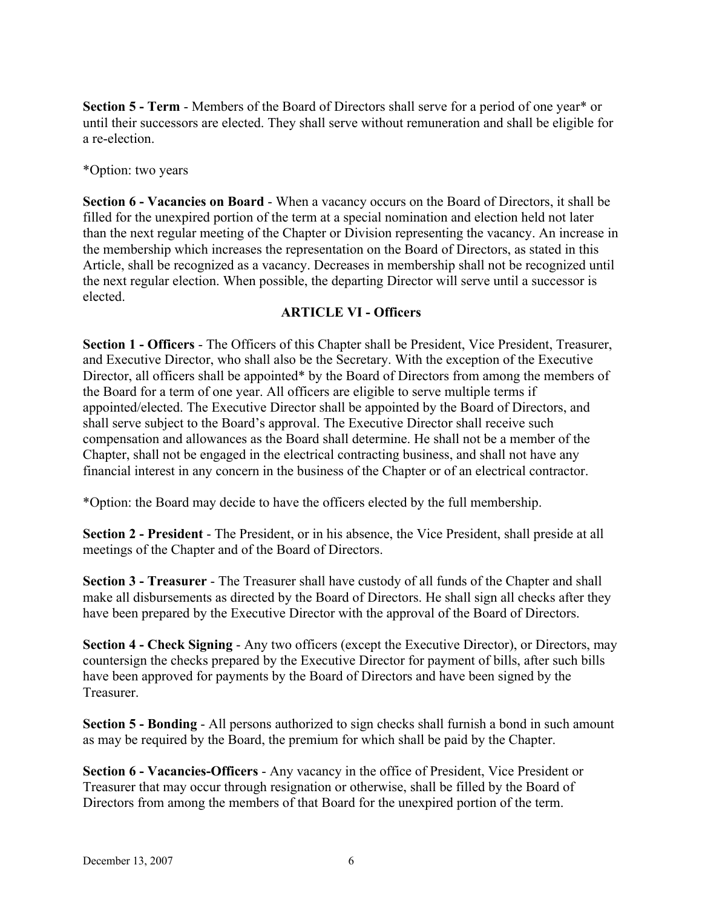**Section 5 - Term** - Members of the Board of Directors shall serve for a period of one year\* or until their successors are elected. They shall serve without remuneration and shall be eligible for a re-election.

\*Option: two years

**Section 6 - Vacancies on Board** - When a vacancy occurs on the Board of Directors, it shall be filled for the unexpired portion of the term at a special nomination and election held not later than the next regular meeting of the Chapter or Division representing the vacancy. An increase in the membership which increases the representation on the Board of Directors, as stated in this Article, shall be recognized as a vacancy. Decreases in membership shall not be recognized until the next regular election. When possible, the departing Director will serve until a successor is elected.

#### **ARTICLE VI - Officers**

**Section 1 - Officers** - The Officers of this Chapter shall be President, Vice President, Treasurer, and Executive Director, who shall also be the Secretary. With the exception of the Executive Director, all officers shall be appointed\* by the Board of Directors from among the members of the Board for a term of one year. All officers are eligible to serve multiple terms if appointed/elected. The Executive Director shall be appointed by the Board of Directors, and shall serve subject to the Board's approval. The Executive Director shall receive such compensation and allowances as the Board shall determine. He shall not be a member of the Chapter, shall not be engaged in the electrical contracting business, and shall not have any financial interest in any concern in the business of the Chapter or of an electrical contractor.

\*Option: the Board may decide to have the officers elected by the full membership.

**Section 2 - President** - The President, or in his absence, the Vice President, shall preside at all meetings of the Chapter and of the Board of Directors.

**Section 3 - Treasurer** - The Treasurer shall have custody of all funds of the Chapter and shall make all disbursements as directed by the Board of Directors. He shall sign all checks after they have been prepared by the Executive Director with the approval of the Board of Directors.

**Section 4 - Check Signing** - Any two officers (except the Executive Director), or Directors, may countersign the checks prepared by the Executive Director for payment of bills, after such bills have been approved for payments by the Board of Directors and have been signed by the Treasurer.

**Section 5 - Bonding** - All persons authorized to sign checks shall furnish a bond in such amount as may be required by the Board, the premium for which shall be paid by the Chapter.

**Section 6 - Vacancies-Officers** - Any vacancy in the office of President, Vice President or Treasurer that may occur through resignation or otherwise, shall be filled by the Board of Directors from among the members of that Board for the unexpired portion of the term.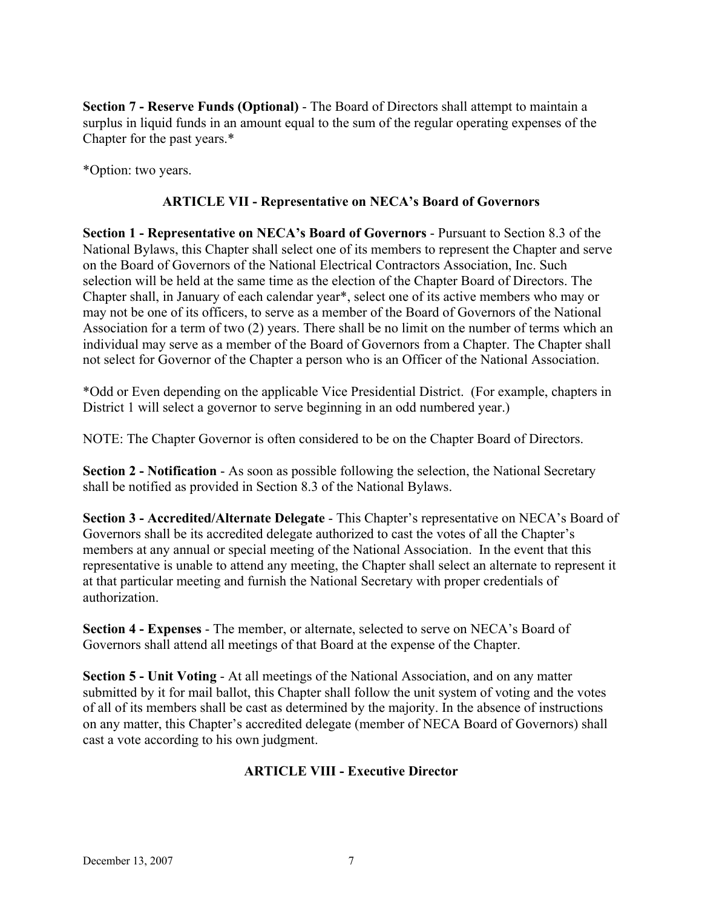**Section 7 - Reserve Funds (Optional)** - The Board of Directors shall attempt to maintain a surplus in liquid funds in an amount equal to the sum of the regular operating expenses of the Chapter for the past years.\*

\*Option: two years.

#### **ARTICLE VII - Representative on NECA's Board of Governors**

**Section 1 - Representative on NECA's Board of Governors** - Pursuant to Section 8.3 of the National Bylaws, this Chapter shall select one of its members to represent the Chapter and serve on the Board of Governors of the National Electrical Contractors Association, Inc. Such selection will be held at the same time as the election of the Chapter Board of Directors. The Chapter shall, in January of each calendar year\*, select one of its active members who may or may not be one of its officers, to serve as a member of the Board of Governors of the National Association for a term of two (2) years. There shall be no limit on the number of terms which an individual may serve as a member of the Board of Governors from a Chapter. The Chapter shall not select for Governor of the Chapter a person who is an Officer of the National Association.

\*Odd or Even depending on the applicable Vice Presidential District. (For example, chapters in District 1 will select a governor to serve beginning in an odd numbered year.)

NOTE: The Chapter Governor is often considered to be on the Chapter Board of Directors.

**Section 2 - Notification** - As soon as possible following the selection, the National Secretary shall be notified as provided in Section 8.3 of the National Bylaws.

**Section 3 - Accredited/Alternate Delegate** - This Chapter's representative on NECA's Board of Governors shall be its accredited delegate authorized to cast the votes of all the Chapter's members at any annual or special meeting of the National Association. In the event that this representative is unable to attend any meeting, the Chapter shall select an alternate to represent it at that particular meeting and furnish the National Secretary with proper credentials of authorization.

**Section 4 - Expenses** - The member, or alternate, selected to serve on NECA's Board of Governors shall attend all meetings of that Board at the expense of the Chapter.

**Section 5 - Unit Voting** - At all meetings of the National Association, and on any matter submitted by it for mail ballot, this Chapter shall follow the unit system of voting and the votes of all of its members shall be cast as determined by the majority. In the absence of instructions on any matter, this Chapter's accredited delegate (member of NECA Board of Governors) shall cast a vote according to his own judgment.

#### **ARTICLE VIII - Executive Director**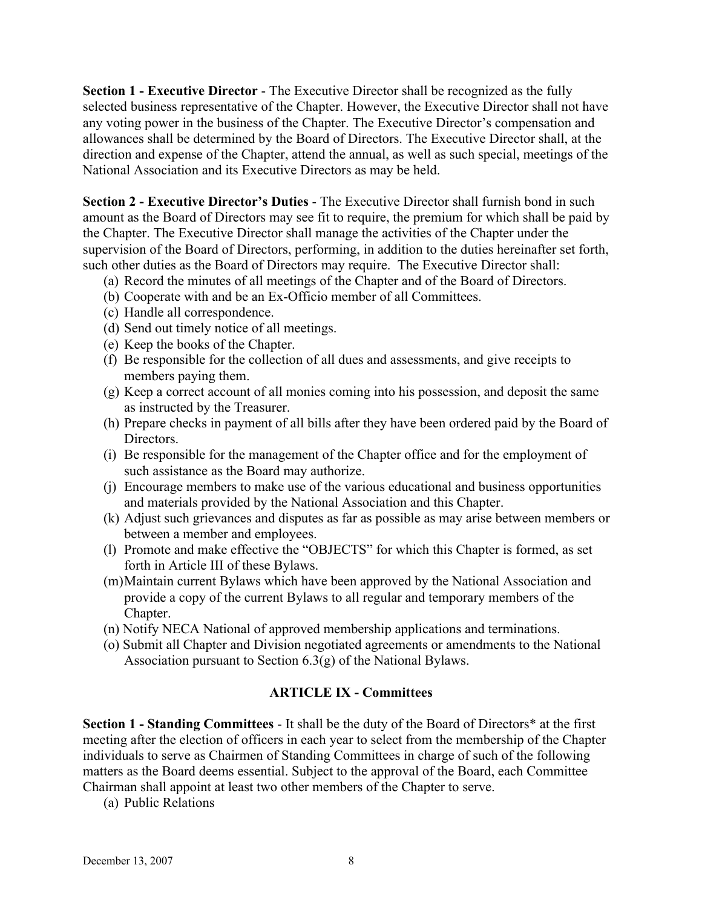**Section 1 - Executive Director** - The Executive Director shall be recognized as the fully selected business representative of the Chapter. However, the Executive Director shall not have any voting power in the business of the Chapter. The Executive Director's compensation and allowances shall be determined by the Board of Directors. The Executive Director shall, at the direction and expense of the Chapter, attend the annual, as well as such special, meetings of the National Association and its Executive Directors as may be held.

**Section 2 - Executive Director's Duties** - The Executive Director shall furnish bond in such amount as the Board of Directors may see fit to require, the premium for which shall be paid by the Chapter. The Executive Director shall manage the activities of the Chapter under the supervision of the Board of Directors, performing, in addition to the duties hereinafter set forth, such other duties as the Board of Directors may require. The Executive Director shall:

- (a) Record the minutes of all meetings of the Chapter and of the Board of Directors.
- (b) Cooperate with and be an Ex-Officio member of all Committees.
- (c) Handle all correspondence.
- (d) Send out timely notice of all meetings.
- (e) Keep the books of the Chapter.
- (f) Be responsible for the collection of all dues and assessments, and give receipts to members paying them.
- (g) Keep a correct account of all monies coming into his possession, and deposit the same as instructed by the Treasurer.
- (h) Prepare checks in payment of all bills after they have been ordered paid by the Board of Directors.
- (i) Be responsible for the management of the Chapter office and for the employment of such assistance as the Board may authorize.
- (j) Encourage members to make use of the various educational and business opportunities and materials provided by the National Association and this Chapter.
- (k) Adjust such grievances and disputes as far as possible as may arise between members or between a member and employees.
- (l) Promote and make effective the "OBJECTS" for which this Chapter is formed, as set forth in Article III of these Bylaws.
- (m)Maintain current Bylaws which have been approved by the National Association and provide a copy of the current Bylaws to all regular and temporary members of the Chapter.
- (n) Notify NECA National of approved membership applications and terminations.
- (o) Submit all Chapter and Division negotiated agreements or amendments to the National Association pursuant to Section 6.3(g) of the National Bylaws.

#### **ARTICLE IX - Committees**

**Section 1 - Standing Committees** - It shall be the duty of the Board of Directors\* at the first meeting after the election of officers in each year to select from the membership of the Chapter individuals to serve as Chairmen of Standing Committees in charge of such of the following matters as the Board deems essential. Subject to the approval of the Board, each Committee Chairman shall appoint at least two other members of the Chapter to serve.

(a) Public Relations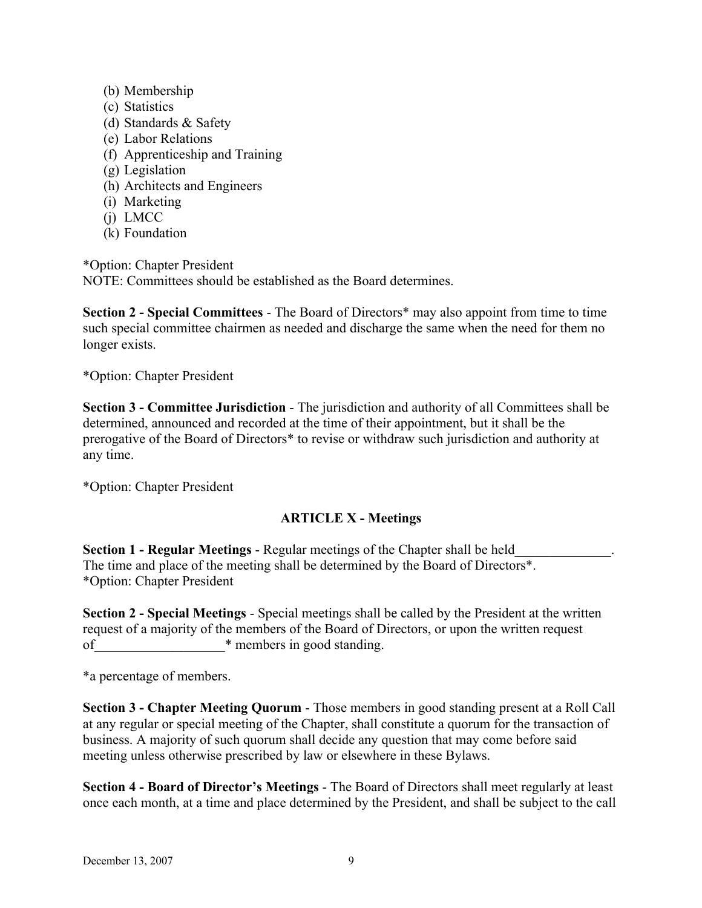- (b) Membership
- (c) Statistics
- (d) Standards & Safety
- (e) Labor Relations
- (f) Apprenticeship and Training
- (g) Legislation
- (h) Architects and Engineers
- (i) Marketing
- (j) LMCC
- (k) Foundation

\*Option: Chapter President

NOTE: Committees should be established as the Board determines.

**Section 2 - Special Committees** - The Board of Directors\* may also appoint from time to time such special committee chairmen as needed and discharge the same when the need for them no longer exists.

\*Option: Chapter President

**Section 3 - Committee Jurisdiction** - The jurisdiction and authority of all Committees shall be determined, announced and recorded at the time of their appointment, but it shall be the prerogative of the Board of Directors\* to revise or withdraw such jurisdiction and authority at any time.

\*Option: Chapter President

#### **ARTICLE X - Meetings**

**Section 1 - Regular Meetings** - Regular meetings of the Chapter shall be held\_\_\_\_\_\_\_\_\_\_\_\_\_\_. The time and place of the meeting shall be determined by the Board of Directors\*. \*Option: Chapter President

**Section 2 - Special Meetings** - Special meetings shall be called by the President at the written request of a majority of the members of the Board of Directors, or upon the written request of when the members in good standing.

\*a percentage of members.

**Section 3 - Chapter Meeting Quorum** - Those members in good standing present at a Roll Call at any regular or special meeting of the Chapter, shall constitute a quorum for the transaction of business. A majority of such quorum shall decide any question that may come before said meeting unless otherwise prescribed by law or elsewhere in these Bylaws.

**Section 4 - Board of Director's Meetings** - The Board of Directors shall meet regularly at least once each month, at a time and place determined by the President, and shall be subject to the call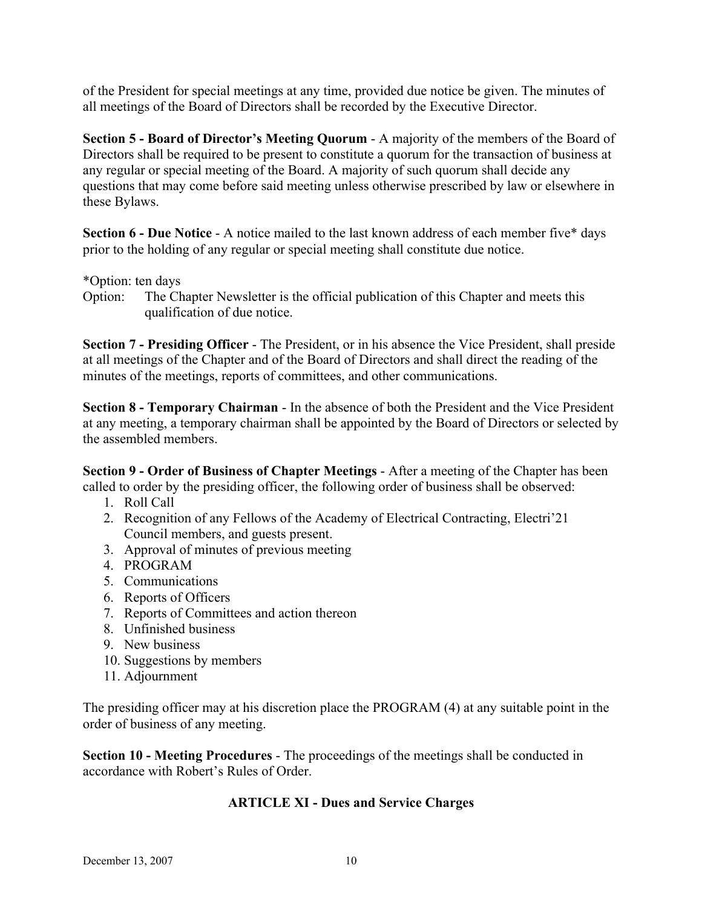of the President for special meetings at any time, provided due notice be given. The minutes of all meetings of the Board of Directors shall be recorded by the Executive Director.

**Section 5 - Board of Director's Meeting Quorum** - A majority of the members of the Board of Directors shall be required to be present to constitute a quorum for the transaction of business at any regular or special meeting of the Board. A majority of such quorum shall decide any questions that may come before said meeting unless otherwise prescribed by law or elsewhere in these Bylaws.

**Section 6 - Due Notice** - A notice mailed to the last known address of each member five\* days prior to the holding of any regular or special meeting shall constitute due notice.

\*Option: ten days

Option: The Chapter Newsletter is the official publication of this Chapter and meets this qualification of due notice.

**Section 7 - Presiding Officer** - The President, or in his absence the Vice President, shall preside at all meetings of the Chapter and of the Board of Directors and shall direct the reading of the minutes of the meetings, reports of committees, and other communications.

**Section 8 - Temporary Chairman** - In the absence of both the President and the Vice President at any meeting, a temporary chairman shall be appointed by the Board of Directors or selected by the assembled members.

**Section 9 - Order of Business of Chapter Meetings** - After a meeting of the Chapter has been called to order by the presiding officer, the following order of business shall be observed:

- 1. Roll Call
- 2. Recognition of any Fellows of the Academy of Electrical Contracting, Electri'21 Council members, and guests present.
- 3. Approval of minutes of previous meeting
- 4. PROGRAM
- 5. Communications
- 6. Reports of Officers
- 7. Reports of Committees and action thereon
- 8. Unfinished business
- 9. New business
- 10. Suggestions by members
- 11. Adjournment

The presiding officer may at his discretion place the PROGRAM (4) at any suitable point in the order of business of any meeting.

**Section 10 - Meeting Procedures** - The proceedings of the meetings shall be conducted in accordance with Robert's Rules of Order.

#### **ARTICLE XI - Dues and Service Charges**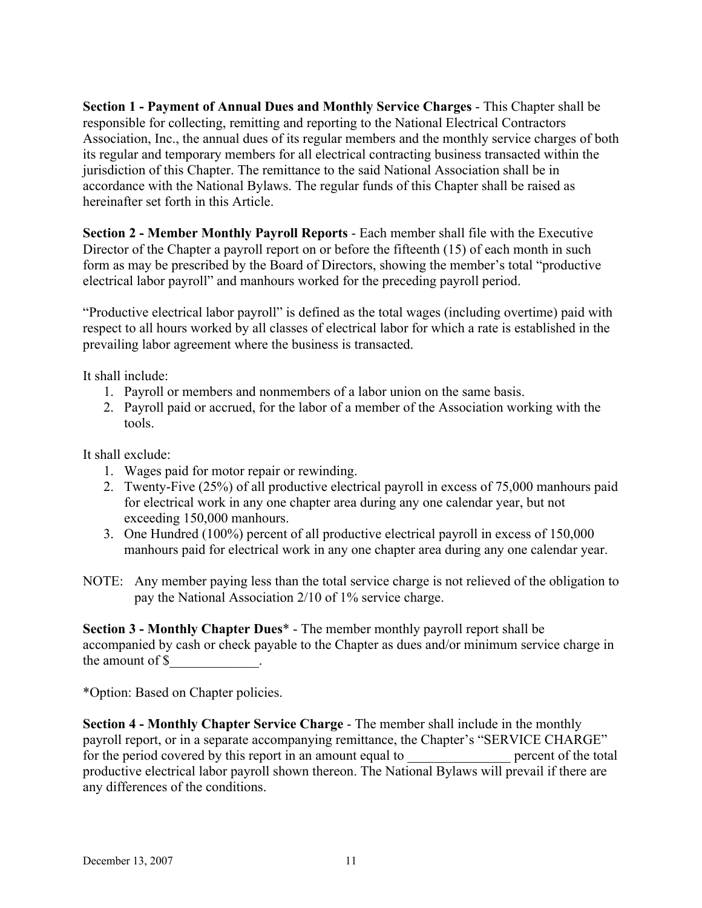**Section 1 - Payment of Annual Dues and Monthly Service Charges** - This Chapter shall be responsible for collecting, remitting and reporting to the National Electrical Contractors Association, Inc., the annual dues of its regular members and the monthly service charges of both its regular and temporary members for all electrical contracting business transacted within the jurisdiction of this Chapter. The remittance to the said National Association shall be in accordance with the National Bylaws. The regular funds of this Chapter shall be raised as hereinafter set forth in this Article.

**Section 2 - Member Monthly Payroll Reports** - Each member shall file with the Executive Director of the Chapter a payroll report on or before the fifteenth (15) of each month in such form as may be prescribed by the Board of Directors, showing the member's total "productive electrical labor payroll" and manhours worked for the preceding payroll period.

"Productive electrical labor payroll" is defined as the total wages (including overtime) paid with respect to all hours worked by all classes of electrical labor for which a rate is established in the prevailing labor agreement where the business is transacted.

It shall include:

- 1. Payroll or members and nonmembers of a labor union on the same basis.
- 2. Payroll paid or accrued, for the labor of a member of the Association working with the tools.

It shall exclude:

- 1. Wages paid for motor repair or rewinding.
- 2. Twenty-Five (25%) of all productive electrical payroll in excess of 75,000 manhours paid for electrical work in any one chapter area during any one calendar year, but not exceeding 150,000 manhours.
- 3. One Hundred (100%) percent of all productive electrical payroll in excess of 150,000 manhours paid for electrical work in any one chapter area during any one calendar year.
- NOTE: Any member paying less than the total service charge is not relieved of the obligation to pay the National Association 2/10 of 1% service charge.

**Section 3 - Monthly Chapter Dues**\* - The member monthly payroll report shall be accompanied by cash or check payable to the Chapter as dues and/or minimum service charge in the amount of \$

\*Option: Based on Chapter policies.

**Section 4 - Monthly Chapter Service Charge** - The member shall include in the monthly payroll report, or in a separate accompanying remittance, the Chapter's "SERVICE CHARGE"<br>for the period covered by this report in an amount equal to percent of the total for the period covered by this report in an amount equal to productive electrical labor payroll shown thereon. The National Bylaws will prevail if there are any differences of the conditions.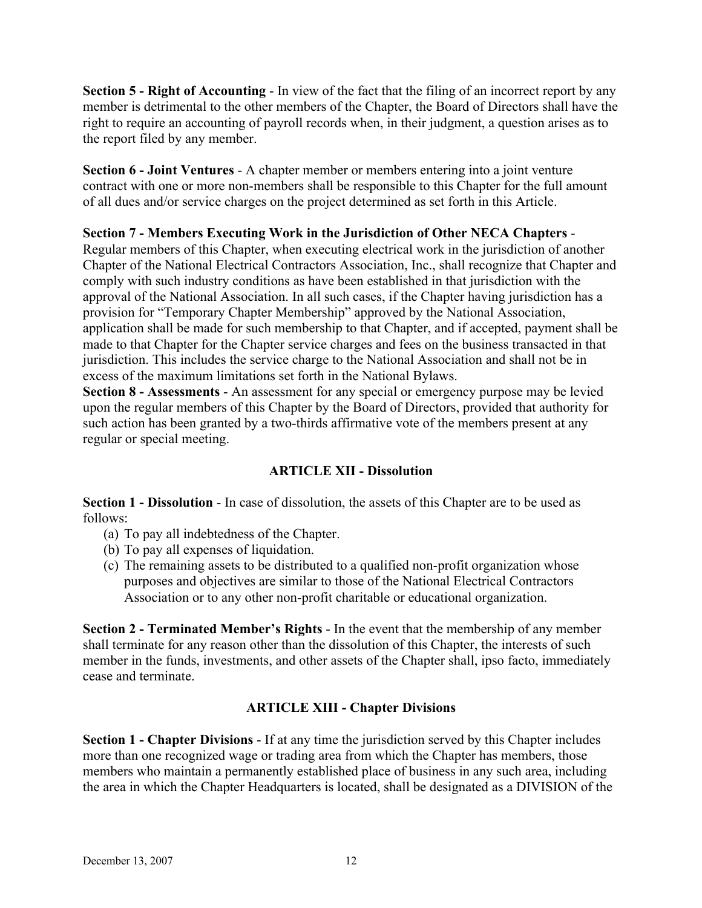**Section 5 - Right of Accounting** - In view of the fact that the filing of an incorrect report by any member is detrimental to the other members of the Chapter, the Board of Directors shall have the right to require an accounting of payroll records when, in their judgment, a question arises as to the report filed by any member.

**Section 6 - Joint Ventures** - A chapter member or members entering into a joint venture contract with one or more non-members shall be responsible to this Chapter for the full amount of all dues and/or service charges on the project determined as set forth in this Article.

### **Section 7 - Members Executing Work in the Jurisdiction of Other NECA Chapters** -

Regular members of this Chapter, when executing electrical work in the jurisdiction of another Chapter of the National Electrical Contractors Association, Inc., shall recognize that Chapter and comply with such industry conditions as have been established in that jurisdiction with the approval of the National Association. In all such cases, if the Chapter having jurisdiction has a provision for "Temporary Chapter Membership" approved by the National Association, application shall be made for such membership to that Chapter, and if accepted, payment shall be made to that Chapter for the Chapter service charges and fees on the business transacted in that jurisdiction. This includes the service charge to the National Association and shall not be in excess of the maximum limitations set forth in the National Bylaws.

**Section 8 - Assessments** - An assessment for any special or emergency purpose may be levied upon the regular members of this Chapter by the Board of Directors, provided that authority for such action has been granted by a two-thirds affirmative vote of the members present at any regular or special meeting.

## **ARTICLE XII - Dissolution**

**Section 1 - Dissolution** - In case of dissolution, the assets of this Chapter are to be used as follows:

- (a) To pay all indebtedness of the Chapter.
- (b) To pay all expenses of liquidation.
- (c) The remaining assets to be distributed to a qualified non-profit organization whose purposes and objectives are similar to those of the National Electrical Contractors Association or to any other non-profit charitable or educational organization.

**Section 2 - Terminated Member's Rights** - In the event that the membership of any member shall terminate for any reason other than the dissolution of this Chapter, the interests of such member in the funds, investments, and other assets of the Chapter shall, ipso facto, immediately cease and terminate.

## **ARTICLE XIII - Chapter Divisions**

**Section 1 - Chapter Divisions** - If at any time the jurisdiction served by this Chapter includes more than one recognized wage or trading area from which the Chapter has members, those members who maintain a permanently established place of business in any such area, including the area in which the Chapter Headquarters is located, shall be designated as a DIVISION of the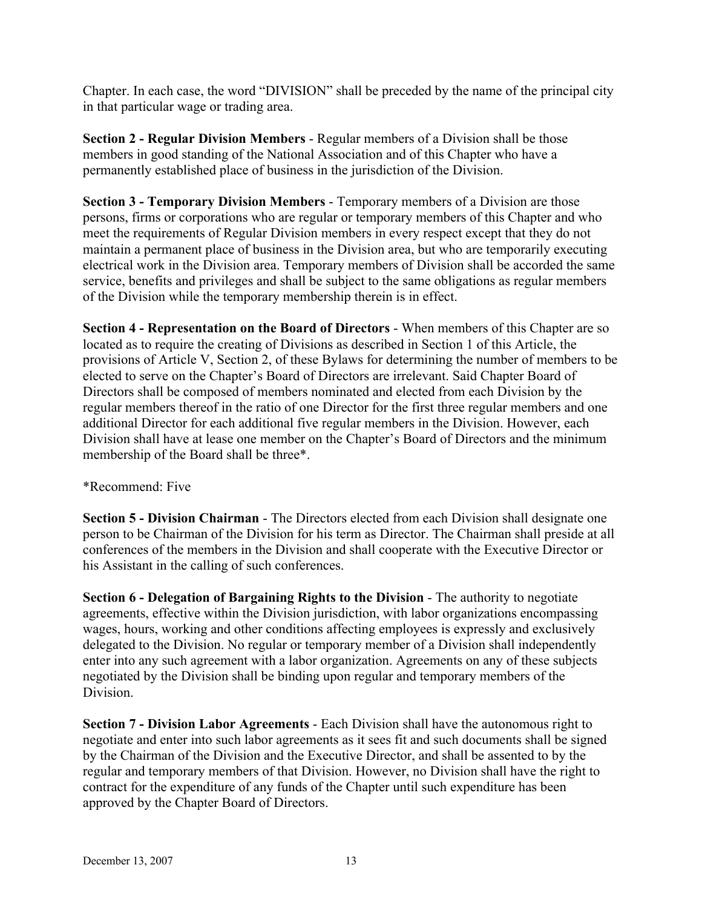Chapter. In each case, the word "DIVISION" shall be preceded by the name of the principal city in that particular wage or trading area.

**Section 2 - Regular Division Members** - Regular members of a Division shall be those members in good standing of the National Association and of this Chapter who have a permanently established place of business in the jurisdiction of the Division.

**Section 3 - Temporary Division Members** - Temporary members of a Division are those persons, firms or corporations who are regular or temporary members of this Chapter and who meet the requirements of Regular Division members in every respect except that they do not maintain a permanent place of business in the Division area, but who are temporarily executing electrical work in the Division area. Temporary members of Division shall be accorded the same service, benefits and privileges and shall be subject to the same obligations as regular members of the Division while the temporary membership therein is in effect.

**Section 4 - Representation on the Board of Directors** - When members of this Chapter are so located as to require the creating of Divisions as described in Section 1 of this Article, the provisions of Article V, Section 2, of these Bylaws for determining the number of members to be elected to serve on the Chapter's Board of Directors are irrelevant. Said Chapter Board of Directors shall be composed of members nominated and elected from each Division by the regular members thereof in the ratio of one Director for the first three regular members and one additional Director for each additional five regular members in the Division. However, each Division shall have at lease one member on the Chapter's Board of Directors and the minimum membership of the Board shall be three\*.

#### \*Recommend: Five

**Section 5 - Division Chairman** - The Directors elected from each Division shall designate one person to be Chairman of the Division for his term as Director. The Chairman shall preside at all conferences of the members in the Division and shall cooperate with the Executive Director or his Assistant in the calling of such conferences.

**Section 6 - Delegation of Bargaining Rights to the Division** - The authority to negotiate agreements, effective within the Division jurisdiction, with labor organizations encompassing wages, hours, working and other conditions affecting employees is expressly and exclusively delegated to the Division. No regular or temporary member of a Division shall independently enter into any such agreement with a labor organization. Agreements on any of these subjects negotiated by the Division shall be binding upon regular and temporary members of the Division.

**Section 7 - Division Labor Agreements** - Each Division shall have the autonomous right to negotiate and enter into such labor agreements as it sees fit and such documents shall be signed by the Chairman of the Division and the Executive Director, and shall be assented to by the regular and temporary members of that Division. However, no Division shall have the right to contract for the expenditure of any funds of the Chapter until such expenditure has been approved by the Chapter Board of Directors.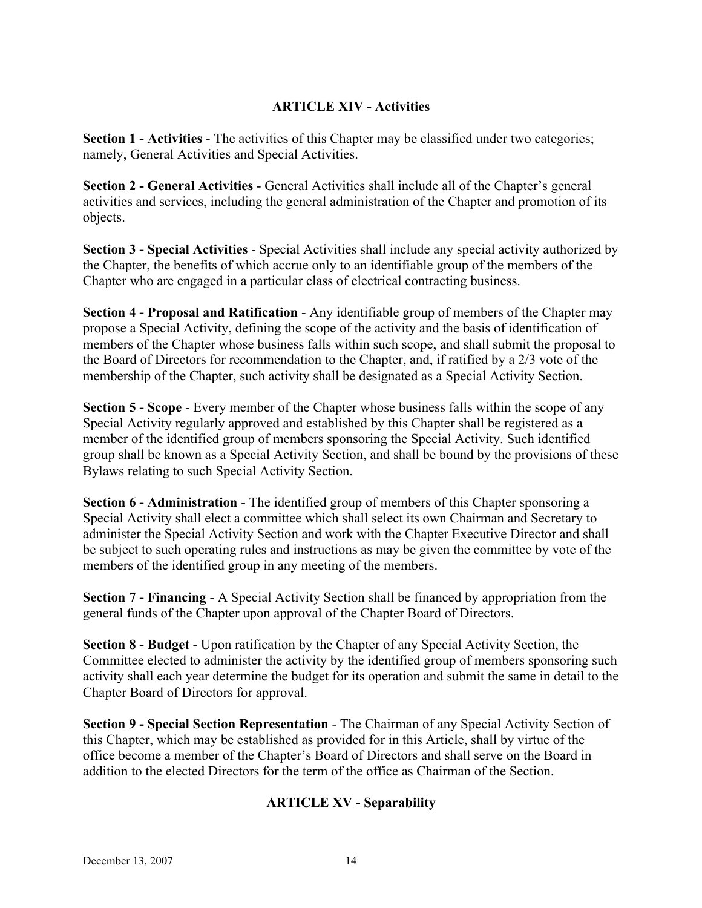#### **ARTICLE XIV - Activities**

**Section 1 - Activities** - The activities of this Chapter may be classified under two categories; namely, General Activities and Special Activities.

**Section 2 - General Activities** - General Activities shall include all of the Chapter's general activities and services, including the general administration of the Chapter and promotion of its objects.

**Section 3 - Special Activities** - Special Activities shall include any special activity authorized by the Chapter, the benefits of which accrue only to an identifiable group of the members of the Chapter who are engaged in a particular class of electrical contracting business.

**Section 4 - Proposal and Ratification** - Any identifiable group of members of the Chapter may propose a Special Activity, defining the scope of the activity and the basis of identification of members of the Chapter whose business falls within such scope, and shall submit the proposal to the Board of Directors for recommendation to the Chapter, and, if ratified by a 2/3 vote of the membership of the Chapter, such activity shall be designated as a Special Activity Section.

**Section 5 - Scope** - Every member of the Chapter whose business falls within the scope of any Special Activity regularly approved and established by this Chapter shall be registered as a member of the identified group of members sponsoring the Special Activity. Such identified group shall be known as a Special Activity Section, and shall be bound by the provisions of these Bylaws relating to such Special Activity Section.

**Section 6 - Administration** - The identified group of members of this Chapter sponsoring a Special Activity shall elect a committee which shall select its own Chairman and Secretary to administer the Special Activity Section and work with the Chapter Executive Director and shall be subject to such operating rules and instructions as may be given the committee by vote of the members of the identified group in any meeting of the members.

**Section 7 - Financing** - A Special Activity Section shall be financed by appropriation from the general funds of the Chapter upon approval of the Chapter Board of Directors.

**Section 8 - Budget** - Upon ratification by the Chapter of any Special Activity Section, the Committee elected to administer the activity by the identified group of members sponsoring such activity shall each year determine the budget for its operation and submit the same in detail to the Chapter Board of Directors for approval.

**Section 9 - Special Section Representation** - The Chairman of any Special Activity Section of this Chapter, which may be established as provided for in this Article, shall by virtue of the office become a member of the Chapter's Board of Directors and shall serve on the Board in addition to the elected Directors for the term of the office as Chairman of the Section.

## **ARTICLE XV - Separability**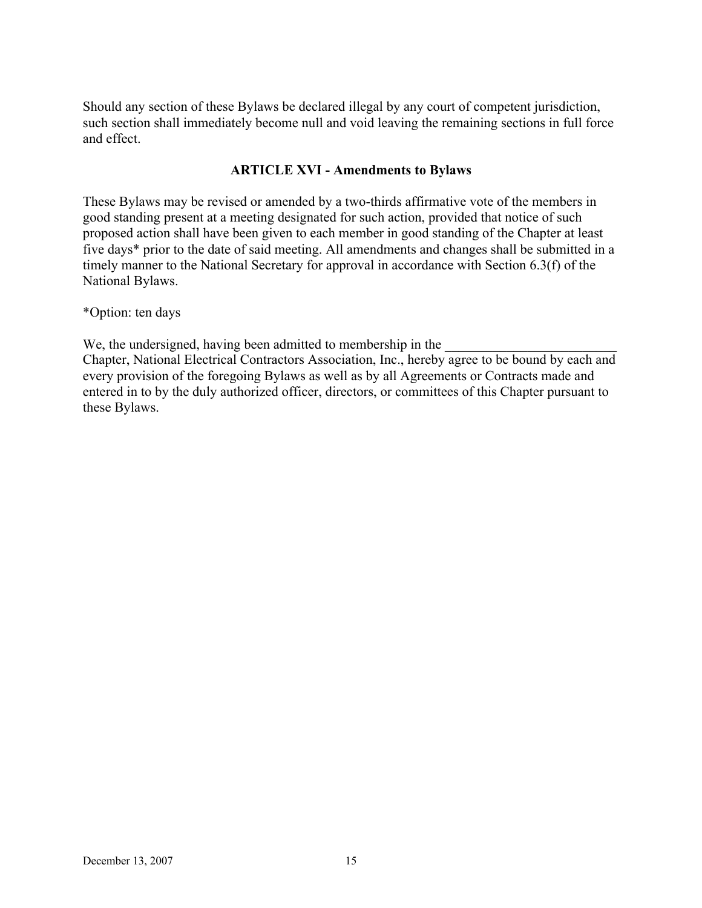Should any section of these Bylaws be declared illegal by any court of competent jurisdiction, such section shall immediately become null and void leaving the remaining sections in full force and effect.

#### **ARTICLE XVI - Amendments to Bylaws**

These Bylaws may be revised or amended by a two-thirds affirmative vote of the members in good standing present at a meeting designated for such action, provided that notice of such proposed action shall have been given to each member in good standing of the Chapter at least five days\* prior to the date of said meeting. All amendments and changes shall be submitted in a timely manner to the National Secretary for approval in accordance with Section 6.3(f) of the National Bylaws.

\*Option: ten days

We, the undersigned, having been admitted to membership in the

Chapter, National Electrical Contractors Association, Inc., hereby agree to be bound by each and every provision of the foregoing Bylaws as well as by all Agreements or Contracts made and entered in to by the duly authorized officer, directors, or committees of this Chapter pursuant to these Bylaws.